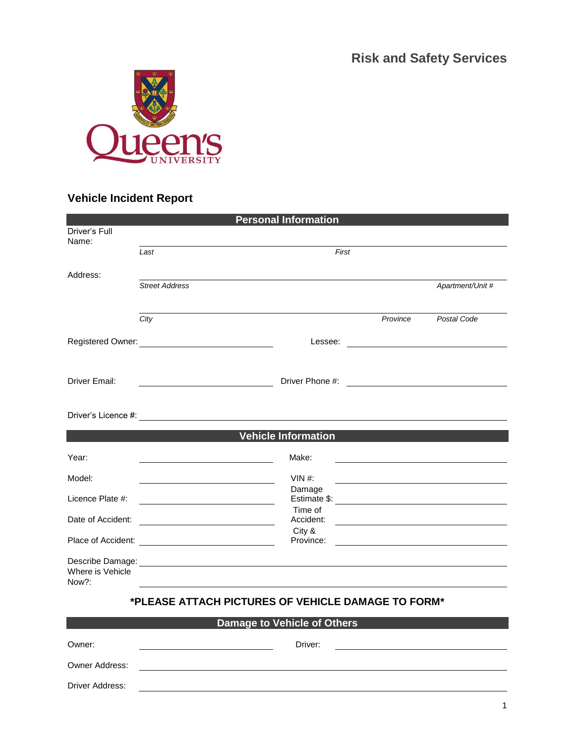**Risk and Safety Services**



# **Vehicle Incident Report**

Driver Address:

|                           |                                                    | <b>Personal Information</b>        |          |                                                                                                                       |
|---------------------------|----------------------------------------------------|------------------------------------|----------|-----------------------------------------------------------------------------------------------------------------------|
| Driver's Full<br>Name:    |                                                    |                                    |          |                                                                                                                       |
|                           | Last                                               | First                              |          |                                                                                                                       |
| Address:                  |                                                    |                                    |          |                                                                                                                       |
|                           | <b>Street Address</b>                              |                                    |          | Apartment/Unit #                                                                                                      |
|                           |                                                    |                                    |          |                                                                                                                       |
|                           | City                                               |                                    | Province | Postal Code                                                                                                           |
|                           |                                                    |                                    |          |                                                                                                                       |
|                           |                                                    |                                    |          |                                                                                                                       |
| Driver Email:             |                                                    | Driver Phone #:                    |          | <u> 1989 - Jan Stein Stein Stein Stein Stein Stein Stein Stein Stein Stein Stein Stein Stein Stein Stein Stein S</u>  |
|                           |                                                    |                                    |          |                                                                                                                       |
|                           |                                                    |                                    |          |                                                                                                                       |
|                           |                                                    | <b>Vehicle Information</b>         |          |                                                                                                                       |
| Year:                     |                                                    | Make:                              |          | <u> 1989 - Johann Barbara, martin amerikan basar dan berasal dan berasal dalam basar dalam basar dalam basar dala</u> |
| Model:                    |                                                    | $VIN$ #:                           |          |                                                                                                                       |
| Licence Plate #:          |                                                    | Damage                             |          |                                                                                                                       |
| Date of Accident:         |                                                    | Time of<br>Accident:               |          |                                                                                                                       |
|                           |                                                    | City &                             |          |                                                                                                                       |
| Place of Accident:        |                                                    | Province:                          |          |                                                                                                                       |
|                           |                                                    |                                    |          |                                                                                                                       |
| Where is Vehicle<br>Now?: |                                                    |                                    |          |                                                                                                                       |
|                           | *PLEASE ATTACH PICTURES OF VEHICLE DAMAGE TO FORM* |                                    |          |                                                                                                                       |
|                           |                                                    | <b>Damage to Vehicle of Others</b> |          |                                                                                                                       |
| Owner:                    |                                                    | Driver:                            |          |                                                                                                                       |
| Owner Address:            |                                                    |                                    |          |                                                                                                                       |

<u> 1980 - Johann Barn, mars ann an t-Amhain Aonaich an t-Aonaich an t-Aonaich ann an t-Aonaich ann an t-Aonaich</u>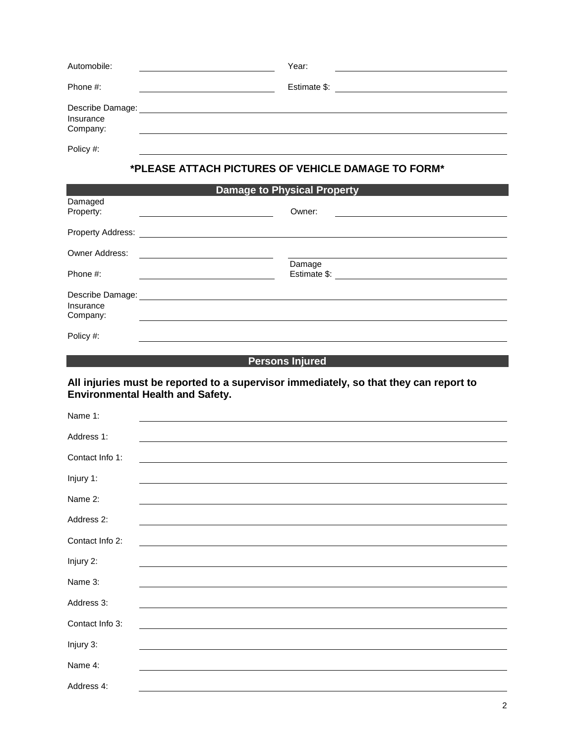| Automobile:                               | Year:        |  |
|-------------------------------------------|--------------|--|
| Phone #:                                  | Estimate \$: |  |
| Describe Damage:<br>Insurance<br>Company: |              |  |
| Policy #:                                 |              |  |

## **\*PLEASE ATTACH PICTURES OF VEHICLE DAMAGE TO FORM\***

| <b>Damage to Physical Property</b> |                        |  |  |
|------------------------------------|------------------------|--|--|
| Damaged<br>Property:               | Owner:                 |  |  |
| Property Address:                  |                        |  |  |
| <b>Owner Address:</b>              |                        |  |  |
| Phone #:                           | Damage<br>Estimate \$: |  |  |
| Describe Damage:                   |                        |  |  |
| Insurance<br>Company:              |                        |  |  |
| Policy #:                          |                        |  |  |

### **Persons Injured Persons Injured**

#### **All injuries must be reported to a supervisor immediately, so that they can report to Environmental Health and Safety.**

| Name 1:         |  |
|-----------------|--|
| Address 1:      |  |
| Contact Info 1: |  |
| Injury 1:       |  |
| Name 2:         |  |
| Address 2:      |  |
| Contact Info 2: |  |
| Injury 2:       |  |
| Name 3:         |  |
| Address 3:      |  |
| Contact Info 3: |  |
| Injury 3:       |  |
| Name 4:         |  |
| Address 4:      |  |
|                 |  |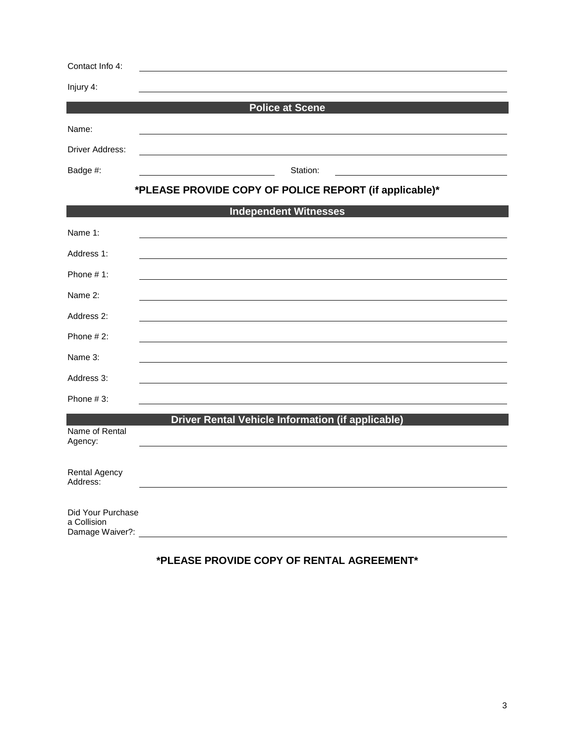| Contact Info 4:           |                                                          |
|---------------------------|----------------------------------------------------------|
| Injury 4:                 |                                                          |
|                           | <b>Police at Scene</b>                                   |
| Name:                     |                                                          |
| Driver Address:           |                                                          |
| Badge #:                  | Station:                                                 |
|                           | *PLEASE PROVIDE COPY OF POLICE REPORT (if applicable)*   |
|                           | <b>Independent Witnesses</b>                             |
| Name 1:                   |                                                          |
| Address 1:                |                                                          |
| Phone $# 1$ :             |                                                          |
| Name 2:                   |                                                          |
| Address 2:                |                                                          |
| Phone $#2$ :              |                                                          |
| Name 3:                   |                                                          |
| Address 3:                |                                                          |
| Phone $#3$ :              |                                                          |
|                           | <b>Driver Rental Vehicle Information (if applicable)</b> |
| Name of Rental<br>Agency: |                                                          |
|                           |                                                          |

| Did Your Purchase |  |  |
|-------------------|--|--|
| a Collision       |  |  |
| Damage Waiver?:   |  |  |

Rental Agency Address:

# **\*PLEASE PROVIDE COPY OF RENTAL AGREEMENT\***